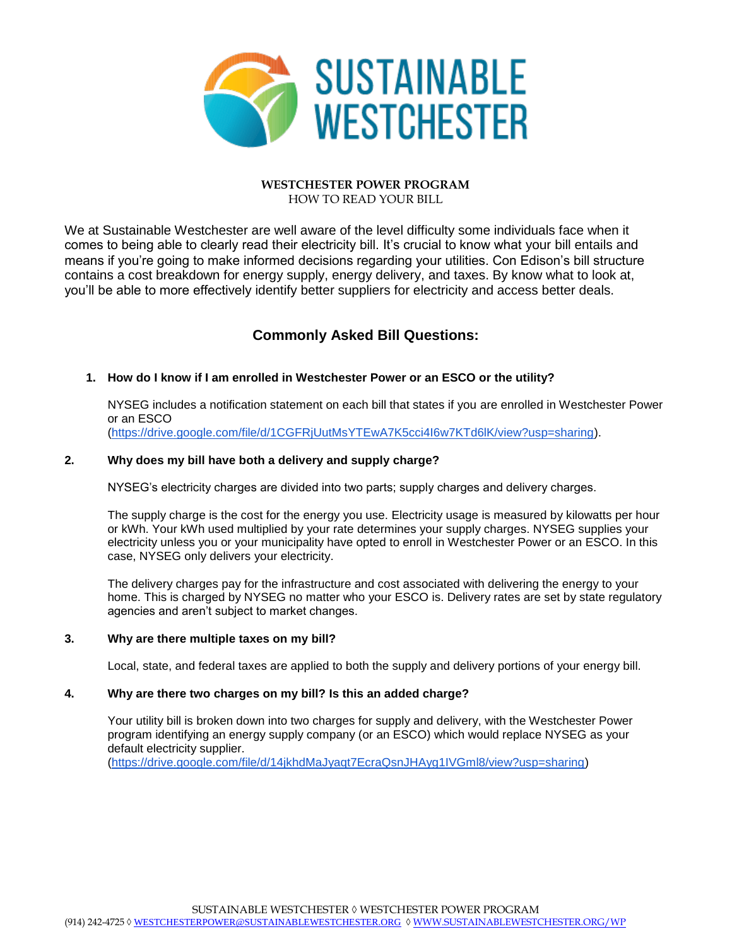

#### **WESTCHESTER POWER PROGRAM** HOW TO READ YOUR BILL

We at Sustainable Westchester are well aware of the level difficulty some individuals face when it comes to being able to clearly read their electricity bill. It's crucial to know what your bill entails and means if you're going to make informed decisions regarding your utilities. Con Edison's bill structure contains a cost breakdown for energy supply, energy delivery, and taxes. By know what to look at, you'll be able to more effectively identify better suppliers for electricity and access better deals.

# **Commonly Asked Bill Questions:**

# **1. How do I know if I am enrolled in Westchester Power or an ESCO or the utility?**

NYSEG includes a notification statement on each bill that states if you are enrolled in Westchester Power or an ESCO [\(https://drive.google.com/file/d/1CGFRjUutMsYTEwA7K5cci4I6w7KTd6lK/view?usp=sharing\)](https://drive.google.com/file/d/1CGFRjUutMsYTEwA7K5cci4I6w7KTd6lK/view?usp=sharing).

## **2. Why does my bill have both a delivery and supply charge?**

NYSEG's electricity charges are divided into two parts; supply charges and delivery charges.

The supply charge is the cost for the energy you use. Electricity usage is measured by kilowatts per hour or kWh. Your kWh used multiplied by your rate determines your supply charges. NYSEG supplies your electricity unless you or your municipality have opted to enroll in Westchester Power or an ESCO. In this case, NYSEG only delivers your electricity.

The delivery charges pay for the infrastructure and cost associated with delivering the energy to your home. This is charged by NYSEG no matter who your ESCO is. Delivery rates are set by state regulatory agencies and aren't subject to market changes.

# **3. Why are there multiple taxes on my bill?**

Local, state, and federal taxes are applied to both the supply and delivery portions of your energy bill.

#### **4. Why are there two charges on my bill? Is this an added charge?**

Your utility bill is broken down into two charges for supply and delivery, with the Westchester Power program identifying an energy supply company (or an ESCO) which would replace NYSEG as your default electricity supplier.

[\(https://drive.google.com/file/d/14jkhdMaJyaqt7EcraQsnJHAyg1IVGml8/view?usp=sharing\)](https://drive.google.com/file/d/14jkhdMaJyaqt7EcraQsnJHAyg1IVGml8/view?usp=sharing)